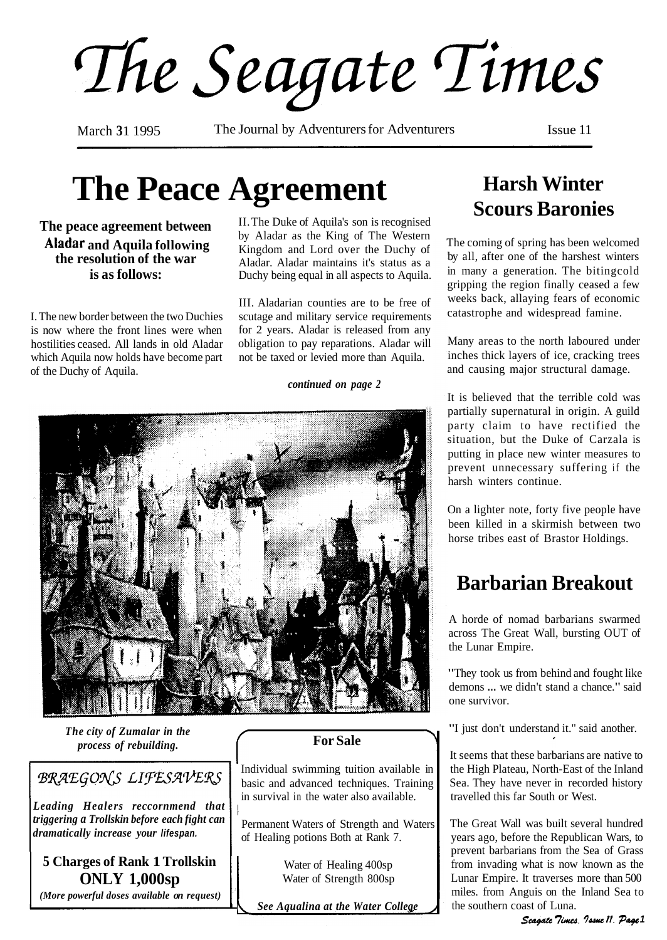The Seagate Times

March 31 1995 The Journal by Adventurers for Adventurers Issue 11

# **The Peace Agreement**

I. The new border between the two Duchies scutage and military service requirements is now where the front lines were when for 2 years. Aladar is released from any hostilities ceased. All lands in old Aladar obligation to pay reparations. Aladar will which Aquila now holds have become part not be taxed or levied more than Aquila. which Aquila now holds have become part of the Duchy of Aquila.

**The peace agreement between** II. The Duke of Aquila's son is recognised by Aladar as the King of The Western<br>Kingdom and Lord over the Duchy of **and Aquila following**<br> **Kingdom and Lord over the Duchy of**<br> **kingdom and Lord over the Duchy of**<br> **Aladar.** Aladar. Aladar maintains it's status as a<br> **Radar.** Aladar. Aladar maintains it's status as a<br>
Duchy being equal Duchy being equal in all aspects to Aquila.

III. Aladarian counties are to be free of

#### *continued on page 2*



*The city of Zumalar in the process of rebuilding.* 

### **BRAEGONS LIFESAVERS**

*Leading Healers reccornmend that triggering a Trollskin before each fight can dramatically increase your* **lifespan.** 

**5 Charges of Rank 1 Trollskin ONLY 1,000sp** 

*(More powerful doses available on request)* 

#### **For Sale**

Individual swimming tuition available in basic and advanced techniques. Training in survival in the water also available.

Permanent Waters of Strength and Waters of Healing potions Both at Rank 7.

> Water of Healing 400sp Water of Strength 800sp

*See Aaualina at the Water College* 

## **Harsh Winter Scours Baronies**

The coming of spring has been welcomed by all, after one of the harshest winters in many a generation. The bitingcold gripping the region finally ceased a few weeks back, allaying fears of economic catastrophe and widespread famine.

Many areas to the north laboured under inches thick layers of ice, cracking trees and causing major structural damage.

It is believed that the terrible cold was partially supernatural in origin. A guild party claim to have rectified the situation, but the Duke of Carzala is putting in place new winter measures to prevent unnecessary suffering if the harsh winters continue.

On a lighter note, forty five people have been killed in a skirmish between two horse tribes east of Brastor Holdings.

## **Barbarian Breakout**

A horde of nomad barbarians swarmed across The Great Wall, bursting OUT of the Lunar Empire.

"They took us from behind and fought like demons ... we didn't stand a chance." said one survivor.

"I just don't understand it." said another.

It seems that these barbarians are native to the High Plateau, North-East of the Inland Sea. They have never in recorded history travelled this far South or West.

The Great Wall was built several hundred years ago, before the Republican Wars, to prevent barbarians from the Sea of Grass from invading what is now known as the Lunar Empire. It traverses more than 500 miles. from Anguis on the Inland Sea to the southern coast of Luna.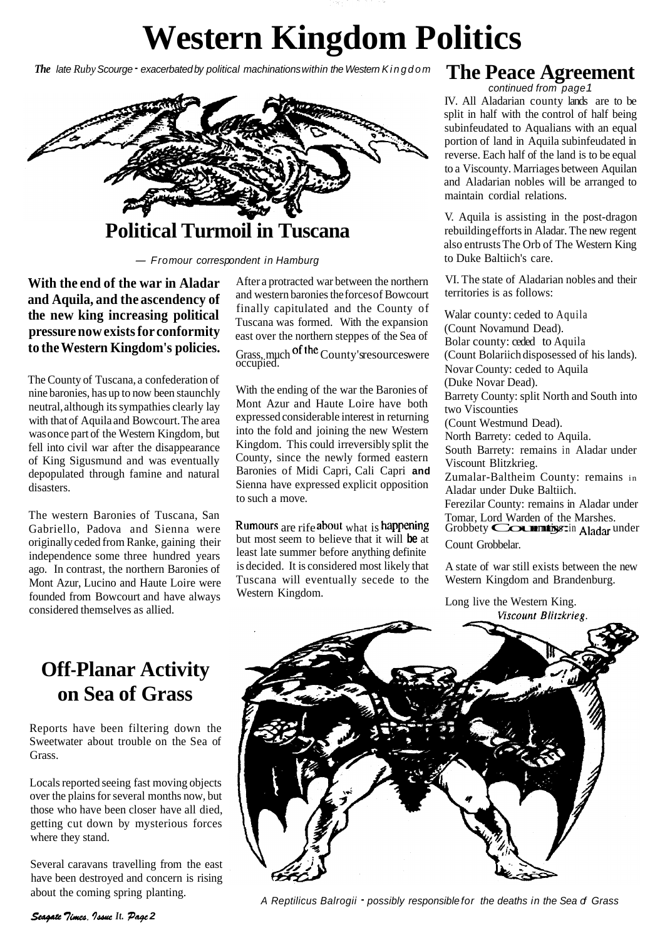## **Western Kingdom Politics**

*The late Ruby Scourge - exacerbated by political machinations within the Western Kingdom* 



**With the end of the war in Aladar and Aquila, and the ascendency of the new king increasing political pressure now exists for conformity to the Western Kingdom's policies.** 

The County of Tuscana, a confederation of nine baronies, has up to now been staunchly neutral, although its sympathies clearly lay with that of Aquila and Bowcourt. The area was once part of the Western Kingdom, but fell into civil war after the disappearance of King Sigusmund and was eventually depopulated through famine and natural disasters.

The western Baronies of Tuscana, San Gabriello, Padova and Sienna were originally ceded from Ranke, gaining their independence some three hundred years ago. In contrast, the northern Baronies of Mont Azur, Lucino and Haute Loire were founded from Bowcourt and have always considered themselves as allied.

and western baronies the forces of Bowcourt finally capitulated and the County of<br>Tuscana was formed. With the expansion (Count Novamund Dead).<br>east over the northern steppes of the Sea of Bolar county: ceded to Aquila

With the ending of the war the Baronies of Mont Azur and Haute Loire have both expressed considerable interest in returning into the fold and joining the new Western Kingdom. This could irreversibly split the County, since the newly formed eastern Baronies of Midi Capri, Cali Capri **and**  Sienna have expressed explicit opposition to such a move.

but most seem to believe that it will **be** at Count Grobbelar. least late summer before anything definite is decided. It is considered most likely that A state of war still exists between the new Tuscana will eventually secede to the Western Kingdom and Brandenburg. Western Kingdom.<br>
Long live the Western King.

## The Peace Agreement<br>
continued from page 1

IV. All Aladarian county lands are to be split in half with the control of half being subinfeudated to Aqualians with an equal portion of land in Aquila subinfeudated in reverse. Each half of the land is to be equal to a Viscounty. Marriages between Aquilan and Aladarian nobles will be arranged to maintain cordial relations.

V. Aquila is assisting in the post-dragon rebuilding efforts in Aladar. The new regent also entrusts The Orb of The Western King to Duke Baltiich's care.

After a protracted war between the northern VI. The state of Aladarian nobles and their<br>and western baronies the forces of Bowcourt territories is as follows:

Grass, much <sup>of the</sup> County's resources were (Count Bolariich disposessed of his lands).<br>
Novar County: ceded to Aquila (Duke Novar Dead). Barrety County: split North and South into two Viscounties (Count Westmund Dead). North Barrety: ceded to Aquila. South Barrety: remains in Aladar under Viscount Blitzkrieg. Zumalar-Baltheim County: remains in Aladar under Duke Baltiich. Ferezilar County: remains in Aladar under Totelland Soling. Tending in This is happen Tomar, Lord Warden of the Marshes.<br>
Grobbety County: and Aladar under

Viscount Blitzkrieg.

## **Off-Planar Activity on Sea of Grass**

Reports have been filtering down the Sweetwater about trouble on the Sea of Grass.

Locals reported seeing fast moving objects over the plains for several months now, but those who have been closer have all died, getting cut down by mysterious forces where they stand.

Several caravans travelling from the east have been destroyed and concern is rising about the coming spring planting.



A Reptilicus Balrogii - possibly responsible for the deaths in the Sea of Grass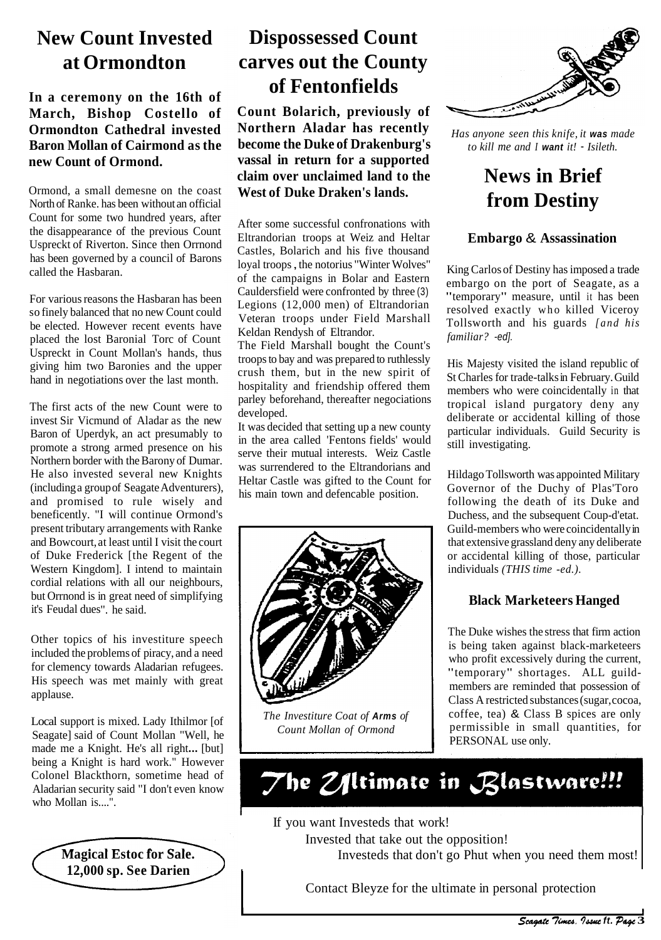## **New Count Invested at Ormondton**

#### **In a ceremony on the 16th of March, Bishop Costello of Ormondton Cathedral invested Baron Mollan of Cairmond as the new Count of Ormond.**

Ormond, a small demesne on the coast North of Ranke. has been without an official Count for some two hundred years, after the disappearance of the previous Count Uspreckt of Riverton. Since then Orrnond has been governed by a council of Barons called the Hasbaran.

For various reasons the Hasbaran has been so finely balanced that no new Count could be elected. However recent events have placed the lost Baronial Torc of Count Uspreckt in Count Mollan's hands, thus giving him two Baronies and the upper hand in negotiations over the last month.

The first acts of the new Count were to invest Sir Vicmund of Aladar as the new Baron of Uperdyk, an act presumably to promote a strong armed presence on his Northern border with the Barony of Dumar. He also invested several new Knights (including a group of Seagate Adventurers), and promised to rule wisely and beneficently. "I will continue Ormond's present tributary arrangements with Ranke and Bowcourt, at least until I visit the court of Duke Frederick [the Regent of the Western Kingdom]. I intend to maintain cordial relations with all our neighbours, but Orrnond is in great need of simplifying it's Feudal dues". he said.

Other topics of his investiture speech included the problems of piracy, and a need for clemency towards Aladarian refugees. His speech was met mainly with great applause.

Local support is mixed. Lady Ithilmor [of Seagate] said of Count Mollan "Well, he made me a Knight. He's all right... [but] being a Knight is hard work." However Colonel Blackthorn, sometime head of Aladarian security said "I don't even know who Mollan is....".

> **Magical Estoc for Sale. 12,000 sp. See Darien**

> > **l**

## **Dispossessed Count carves out the County of Fentonfields**

**Count Bolarich, previously of Northern Aladar has recently become the Duke of Drakenburg's vassal in return for a supported claim over unclaimed land to the West of Duke Draken's lands.** 

After some successful confronations with Eltrandorian troops at Weiz and Heltar Castles, Bolarich and his five thousand loyal troops , the notorius "Winter Wolves" of the campaigns in Bolar and Eastern Cauldersfield were confronted by three (3) Legions (12,000 men) of Eltrandorian Veteran troops under Field Marshall Keldan Rendysh of Eltrandor.

The Field Marshall bought the Count's troops to bay and was prepared to ruthlessly crush them, but in the new spirit of hospitality and friendship offered them parley beforehand, thereafter negociations developed.

It was decided that setting up a new county in the area called 'Fentons fields' would serve their mutual interests. Weiz Castle was surrendered to the Eltrandorians and Heltar Castle was gifted to the Count for his main town and defencable position.



*The Investiture Coat of* **Arms** *of Count Mollan of Ormond* 



*Has anyone seen this knife, it* **was** *made to kill me and I* **want** *it!* - *Isileth.* 

## **News in Brief from Destiny**

#### **Embargo** & **Assassination**

King Carlos of Destiny has imposed a trade embargo on the port of Seagate, as a "temporary" measure, until it has been resolved exactly who killed Viceroy Tollsworth and his guards *[and his familiar?* -ed].

His Majesty visited the island republic of St Charles for trade-talks in February. Guild members who were coincidentally in that tropical island purgatory deny any deliberate or accidental killing of those particular individuals. Guild Security is still investigating.

Hildago Tollsworth was appointed Military Governor of the Duchy of Plas'Toro following the death of its Duke and Duchess, and the subsequent Coup-d'etat. Guild-members who were coincidentally in that extensive grassland deny any deliberate or accidental killing of those, particular individuals *(THIS time -ed.).* 

#### **Black Marketeers Hanged**

The Duke wishes the stress that firm action is being taken against black-marketeers who profit excessively during the current, "temporary" shortages. ALL guildmembers are reminded that possession of Class A restricted substances (sugar, cocoa, coffee, tea) & Class B spices are only permissible in small quantities, for PERSONAL use only.

## The Z/Itimate in Blastware!!!

If you want Investeds that work!

Invested that take out the opposition!

Investeds that don't go Phut when you need them most!

Contact Bleyze for the ultimate in personal protection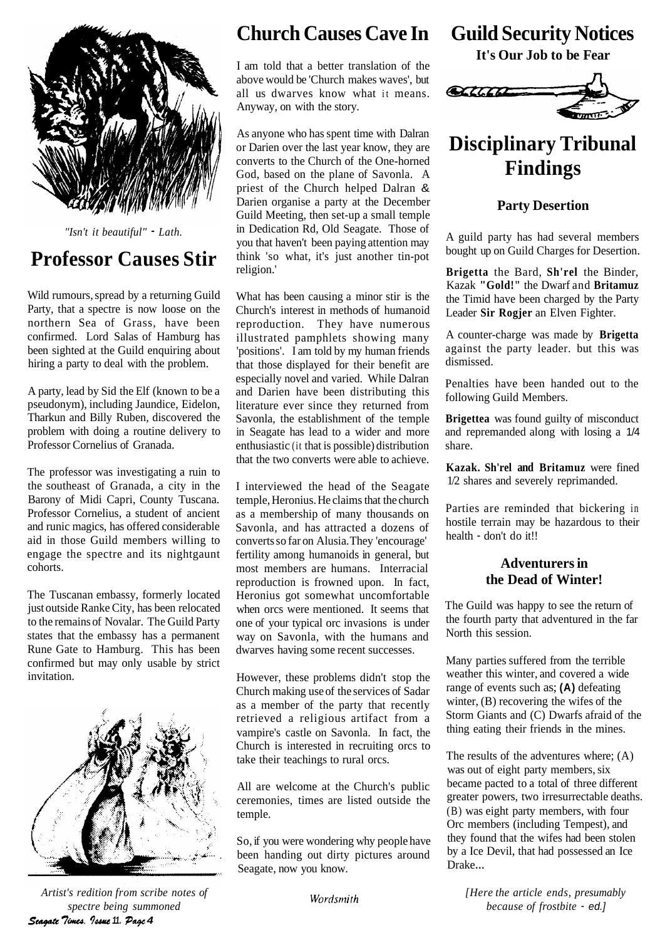

*"Isn't it beautiful"* - *Lath.* 

## **Professor Causes Stir**

Wild rumours, spread by a returning Guild Party, that a spectre is now loose on the northern Sea of Grass, have been confirmed. Lord Salas of Hamburg has been sighted at the Guild enquiring about hiring a party to deal with the problem.

A party, lead by Sid the Elf (known to be a pseudonym), including Jaundice, Eidelon, Tharkun and Billy Ruben, discovered the problem with doing a routine delivery to Professor Cornelius of Granada.

The professor was investigating a ruin to the southeast of Granada, a city in the Barony of Midi Capri, County Tuscana. Professor Cornelius, a student of ancient and runic magics, has offered considerable aid in those Guild members willing to engage the spectre and its nightgaunt cohorts.

The Tuscanan embassy, formerly located just outside Ranke City, has been relocated to the remains of Novalar. The Guild Party states that the embassy has a permanent Rune Gate to Hamburg. This has been confirmed but may only usable by strict invitation.



*Artist's redition from scribe notes of spectre being summoned*  **Seagate Times. Issue 11. Page 4** 

## **Church Causes Cave In**

I am told that a better translation of the above would be 'Church makes waves', but all us dwarves know what it means. Anyway, on with the story.

As anyone who has spent time with Dalran or Darien over the last year know, they are converts to the Church of the One-horned God, based on the plane of Savonla. A priest of the Church helped Dalran & Darien organise a party at the December Guild Meeting, then set-up a small temple in Dedication Rd, Old Seagate. Those of you that haven't been paying attention may think 'so what, it's just another tin-pot religion.'

What has been causing a minor stir is the Church's interest in methods of humanoid reproduction. They have numerous illustrated pamphlets showing many 'positions'. I am told by my human friends that those displayed for their benefit are especially novel and varied. While Dalran and Darien have been distributing this literature ever since they returned from Savonla, the establishment of the temple in Seagate has lead to a wider and more enthusiastic (it that is possible) distribution that the two converts were able to achieve.

I interviewed the head of the Seagate temple, Heronius. He claims that the church as a membership of many thousands on Savonla, and has attracted a dozens of converts so far on Alusia. They 'encourage' fertility among humanoids in general, but most members are humans. Interracial reproduction is frowned upon. In fact, Heronius got somewhat uncomfortable when orcs were mentioned. It seems that one of your typical orc invasions is under way on Savonla, with the humans and dwarves having some recent successes.

However, these problems didn't stop the Church making use of the services of Sadar as a member of the party that recently retrieved a religious artifact from a vampire's castle on Savonla. In fact, the Church is interested in recruiting orcs to take their teachings to rural orcs.

All are welcome at the Church's public ceremonies, times are listed outside the temple.

So, if you were wondering why people have been handing out dirty pictures around Seagate, now you know.

Wordsmith

**Guild Security Notices** 

**It's Our Job to be Fear** 



## **Disciplinary Tribunal Findings**

#### **Party Desertion**

A guild party has had several members bought up on Guild Charges for Desertion.

**Brigetta** the Bard, **Sh'rel** the Binder, Kazak **"Gold!"** the Dwarf and **Britamuz**  the Timid have been charged by the Party Leader **Sir Rogjer** an Elven Fighter.

A counter-charge was made by **Brigetta**  against the party leader. but this was dismissed.

Penalties have been handed out to the following Guild Members.

**Brigettea** was found guilty of misconduct and repremanded along with losing a 1/4 share.

**Kazak. Sh'rel and Britamuz** were fined 1/2 shares and severely reprimanded.

Parties are reminded that bickering in hostile terrain may be hazardous to their health - don't do it!!

#### **Adventurers in the Dead of Winter!**

The Guild was happy to see the return of the fourth party that adventured in the far North this session.

Many parties suffered from the terrible weather this winter, and covered a wide range of events such as; **(A)** defeating winter, (B) recovering the wifes of the Storm Giants and (C) Dwarfs afraid of the thing eating their friends in the mines.

The results of the adventures where; (A) was out of eight party members, six became pacted to a total of three different greater powers, two irresurrectable deaths. (B) was eight party members, with four Orc members (including Tempest), and they found that the wifes had been stolen by a Ice Devil, that had possessed an Ice Drake...

*[Here the article ends, presumably because of frostbite* - ed.]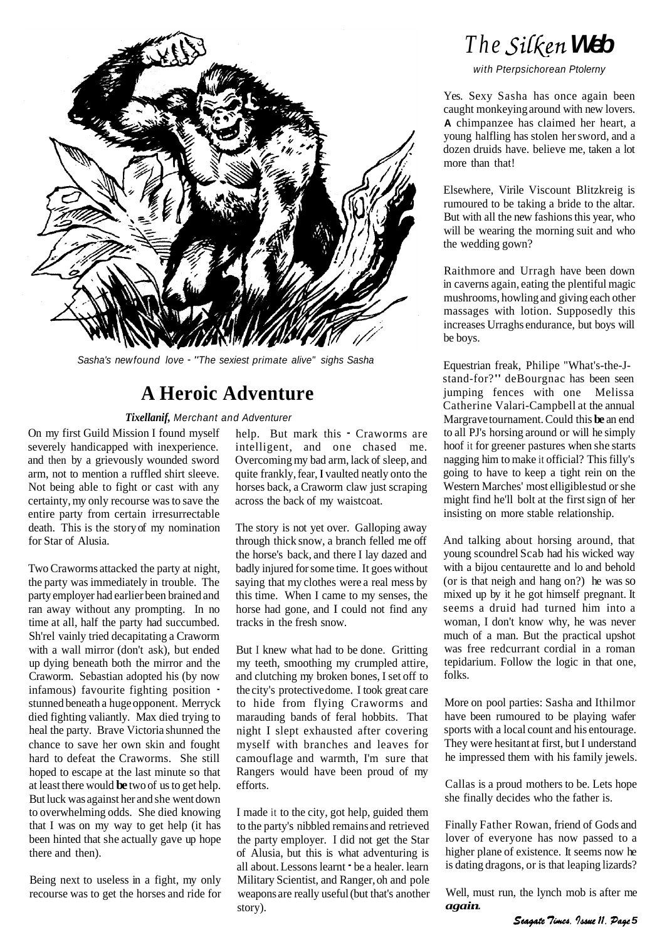

Sasha's new found love - "The sexiest primate alive" sighs Sasha

## **A Heroic Adventure**

*Tixellanif,* Merchant and Adventurer

On my first Guild Mission I found myself severely handicapped with inexperience. and then by a grievously wounded sword arm, not to mention a ruffled shirt sleeve. Not being able to fight or cast with any certainty, my only recourse was to save the entire party from certain irresurrectable death. This is the story of my nomination for Star of Alusia.

Two Craworms attacked the party at night, the party was immediately in trouble. The party employer had earlier been brained and ran away without any prompting. In no time at all, half the party had succumbed. Sh'rel vainly tried decapitating a Craworm with a wall mirror (don't ask), but ended up dying beneath both the mirror and the Craworm. Sebastian adopted his (by now infamous) favourite fighting position stunned beneath a huge opponent. Merryck died fighting valiantly. Max died trying to heal the party. Brave Victoria shunned the chance to save her own skin and fought hard to defeat the Craworms. She still hoped to escape at the last minute so that at least there would **be** two of us to get help. But luck was against her and she went down to overwhelming odds. She died knowing that I was on my way to get help (it has been hinted that she actually gave up hope there and then).

Being next to useless in a fight, my only recourse was to get the horses and ride for help. But mark this - Craworms are intelligent, and one chased me. Overcoming my bad arm, lack of sleep, and quite frankly, fear, **I** vaulted neatly onto the horses back, a Craworm claw just scraping across the back of my waistcoat.

The story is not yet over. Galloping away through thick snow, a branch felled me off the horse's back, and there I lay dazed and badly injured for some time. It goes without saying that my clothes were a real mess by this time. When I came to my senses, the horse had gone, and I could not find any tracks in the fresh snow.

But I knew what had to be done. Gritting my teeth, smoothing my crumpled attire, and clutching my broken bones, I set off to the city's protective dome. I took great care to hide from flying Craworms and marauding bands of feral hobbits. That night I slept exhausted after covering myself with branches and leaves for camouflage and warmth, I'm sure that Rangers would have been proud of my efforts.

I made it to the city, got help, guided them to the party's nibbled remains and retrieved the party employer. I did not get the Star of Alusia, but this is what adventuring is all about. Lessons learnt  $\bullet$  be a healer. learn Military Scientist, and Ranger, oh and pole weapons are really useful (but that's another story).

## *The Silken* Web

with Pterpsichorean Ptolerny

Yes. Sexy Sasha has once again been caught monkeying around with new lovers. **A** chimpanzee has claimed her heart, a young halfling has stolen her sword, and a dozen druids have. believe me, taken a lot more than that!

Elsewhere, Virile Viscount Blitzkreig is rumoured to be taking a bride to the altar. But with all the new fashions this year, who will be wearing the morning suit and who the wedding gown?

Raithmore and Urragh have been down in caverns again, eating the plentiful magic mushrooms, howling and giving each other massages with lotion. Supposedly this increases Urraghs endurance, but boys will be boys.

Equestrian freak, Philipe "What's-the-Jstand-for?" deBourgnac has been seen jumping fences with one Melissa Catherine Valari-Campbell at the annual Margrave tournament. Could this **be** an end to all PJ's horsing around or will he simply hoof it for greener pastures when she starts nagging him to make it official? This filly's going to have to keep a tight rein on the Western Marches' most elligible stud or she might find he'll bolt at the first sign of her insisting on more stable relationship.

And talking about horsing around, that young scoundrel Scab had his wicked way with a bijou centaurette and lo and behold (or is that neigh and hang on?) he was so mixed up by it he got himself pregnant. It seems a druid had turned him into a woman, I don't know why, he was never much of a man. But the practical upshot was free redcurrant cordial in a roman tepidarium. Follow the logic in that one, folks.

More on pool parties: Sasha and Ithilmor have been rumoured to be playing wafer sports with a local count and his entourage. They were hesitant at first, but I understand he impressed them with his family jewels.

Callas is a proud mothers to be. Lets hope she finally decides who the father is.

Finally Father Rowan, friend of Gods and lover of everyone has now passed to a higher plane of existence. It seems now he is dating dragons, or is that leaping lizards?

Well, must run, the lynch mob is after me *again* ...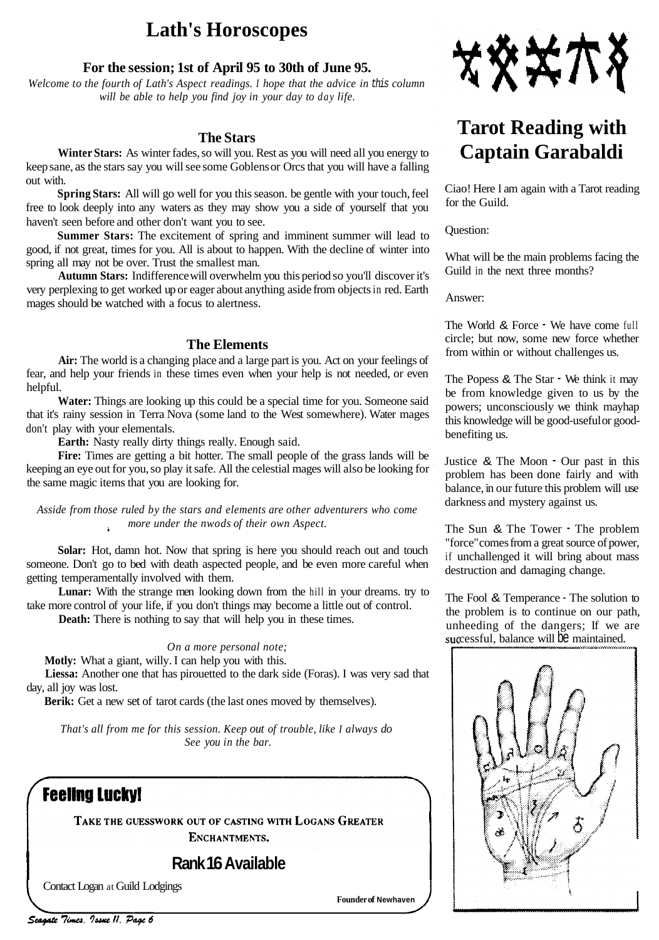## **Lath's Horoscopes**

#### **For the session; 1st of April 95 to 30th of June 95.**

*Welcome to the fourth of Lath's Aspect readings. I hope that the advice in this column will be able to help you find joy in your day to day life.* 

#### **The Stars**

**Winter Stars:** As winter fades, so will you. Rest as you will need all you energy to keep sane, as the stars say you will see some Goblens or Orcs that you will have a falling out with.

**Spring Stars:** All will go well for you this season. be gentle with your touch, feel free to look deeply into any waters as they may show you a side of yourself that you haven't seen before and other don't want you to see.

**Summer Stars:** The excitement of spring and imminent summer will lead to good, if not great, times for you. All is about to happen. With the decline of winter into spring all may not be over. Trust the smallest man.

**Autumn Stars:** Indifference will overwhelm you this period so you'll discover it's very perplexing to get worked up or eager about anything aside from objects in red. Earth mages should be watched with a focus to alertness.

#### **The Elements**

**Air:** The world is a changing place and a large part is you. Act on your feelings of fear, and help your friends in these times even when your help is not needed, or even helpful.

**Water:** Things are looking up this could be a special time for you. Someone said that it's rainy session in Terra Nova (some land to the West somewhere). Water mages don't play with your elementals.

**Earth:** Nasty really dirty things really. Enough said.

Fire: Times are getting a bit hotter. The small people of the grass lands will be keeping an eye out for you, so play it safe. All the celestial mages will also be looking for the same magic items that you are looking for.

*Asside from those ruled by the stars and elements are other adventurers who come more under the nwods of their own Aspect.*   $\mathbf{r}$ 

**Solar:** Hot, damn hot. Now that spring is here you should reach out and touch someone. Don't go to bed with death aspected people, and be even more careful when getting temperamentally involved with them.

Lunar: With the strange men looking down from the hill in your dreams. try to take more control of your life, if you don't things may become a little out of control.

**Death:** There is nothing to say that will help you in these times.

#### *On a more personal note;*

**Motly:** What a giant, willy. I can help you with this.

**Liessa:** Another one that has pirouetted to the dark side (Foras). I was very sad that day, all joy was lost.

Berik: Get a new set of tarot cards (the last ones moved by themselves).

*That's all from me for this session. Keep out of trouble, like I always do See you in the bar.* 

### **Feeling Lucky!**

TAKE THE GUESSWORK OUT OF CASTING WITH LOGANS GREATER ENCHANTMENTS.

**Rank 16 Available** 

Contact Logan at Guild Lodgings

**Founder of Newhaven** 



## **Tarot Reading with Captain Garabaldi**

Ciao! Here I am again with a Tarot reading for the Guild.

Question:

What will be the main problems facing the Guild in the next three months?

Answer:

The World & Force  $\cdot$  We have come full circle; but now, some new force whether from within or without challenges us.

The Popess & The Star  $\cdot$  We think it may be from knowledge given to us by the powers; unconsciously we think mayhap this knowledge will be good-useful or goodbenefiting us.

Justice & The Moon - Our past in this problem has been done fairly and with balance, in our future this problem will use darkness and mystery against us.

The Sun & The Tower - The problem "force" comes from a great source of power, if unchallenged it will bring about mass destruction and damaging change.

The Fool & Temperance - The solution to the problem is to continue on our path, unheeding of the dangers; If we are successful, balance will be maintained.

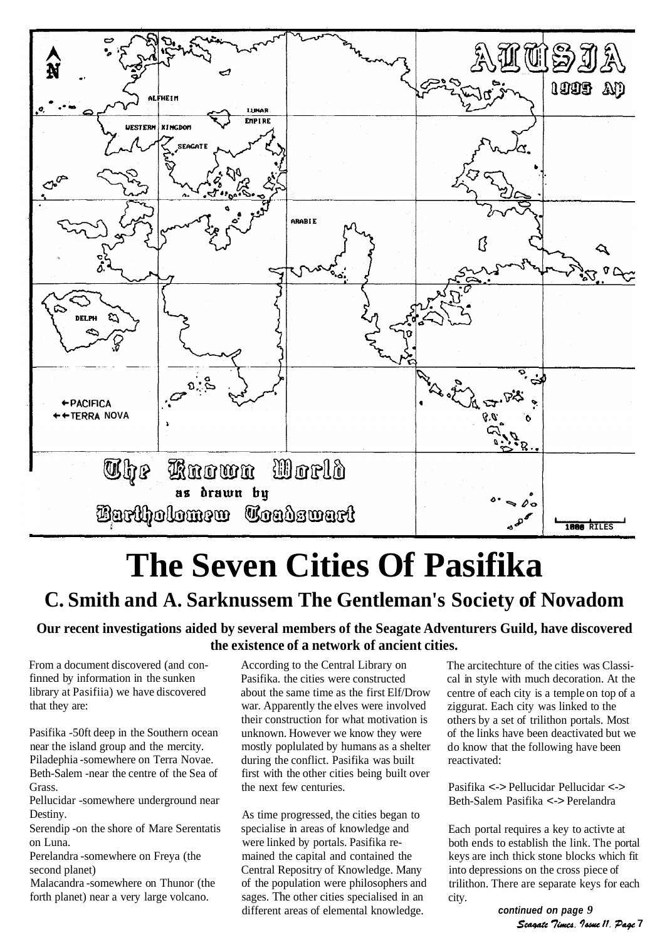

# **The Seven Cities Of Pasifika**

## **C. Smith and A. Sarknussem The Gentleman's Society of Novadom**

#### **Our recent investigations aided by several members of the Seagate Adventurers Guild, have discovered the existence of a network of ancient cities.**

From a document discovered (and confinned by information in the sunken library at Pasifiia) we have discovered that they are:

Pasifika -50ft deep in the Southern ocean near the island group and the mercity. Piladephia -somewhere on Terra Novae. Beth-Salem -near the centre of the Sea of Grass.

Pellucidar -somewhere underground near Destiny.

Serendip -on the shore of Mare Serentatis on Luna.

Perelandra -somewhere on Freya (the second planet)

Malacandra -somewhere on Thunor (the forth planet) near a very large volcano.

According to the Central Library on Pasifika. the cities were constructed about the same time as the first Elf/Drow war. Apparently the elves were involved their construction for what motivation is unknown. However we know they were mostly poplulated by humans as a shelter during the conflict. Pasifika was built first with the other cities being built over the next few centuries.

As time progressed, the cities began to specialise in areas of knowledge and were linked by portals. Pasifika remained the capital and contained the Central Repositry of Knowledge. Many of the population were philosophers and sages. The other cities specialised in an different areas of elemental knowledge.

The arcitechture of the cities was Classical in style with much decoration. At the centre of each city is a temple on top of a ziggurat. Each city was linked to the others by a set of trilithon portals. Most of the links have been deactivated but we do know that the following have been reactivated:

Pasifika <-> Pellucidar Pellucidar <-> Beth-Salem Pasifika <-> Perelandra

Each portal requires a key to activte at both ends to establish the link. The portal keys are inch thick stone blocks which fit into depressions on the cross piece of trilithon. There are separate keys for each city.

**continued on page** *9*  Scagate Times. Issue 11. Page 7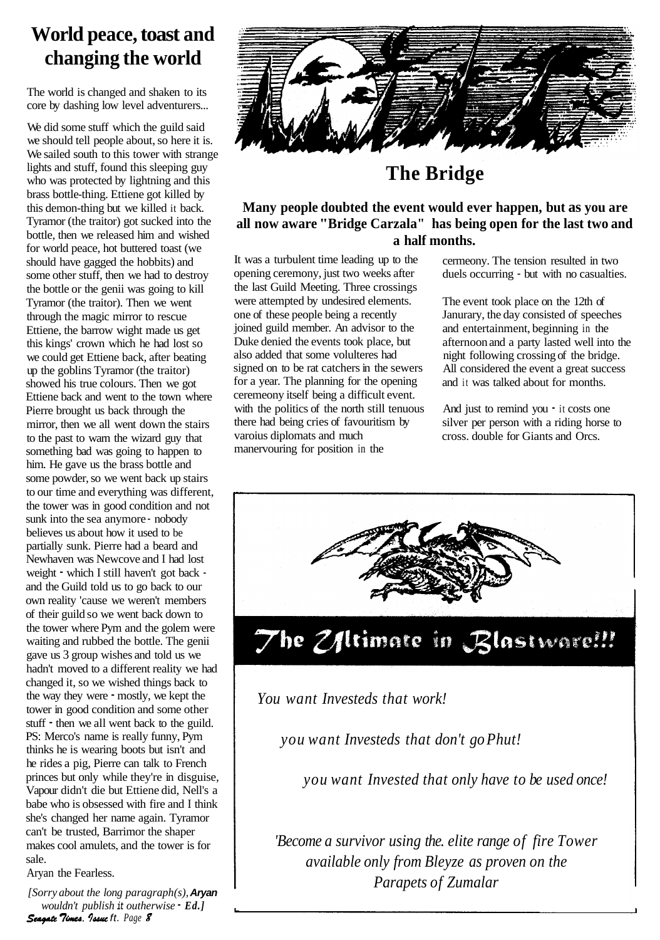## **World peace, toast and changing the world**

The world is changed and shaken to its core by dashing low level adventurers...

We did some stuff which the guild said we should tell people about, so here it is. We sailed south to this tower with strange lights and stuff, found this sleeping guy who was protected by lightning and this brass bottle-thing. Ettiene got killed by this demon-thing but we killed it back. Tyramor (the traitor) got sucked into the bottle, then we released him and wished for world peace, hot buttered toast (we should have gagged the hobbits) and some other stuff, then we had to destroy the bottle or the genii was going to kill Tyramor (the traitor). Then we went through the magic mirror to rescue Ettiene, the barrow wight made us get this kings' crown which he had lost so we could get Ettiene back, after beating up the goblins Tyramor (the traitor) showed his true colours. Then we got Ettiene back and went to the town where Pierre brought us back through the mirror, then we all went down the stairs to the past to warn the wizard guy that something bad was going to happen to him. He gave us the brass bottle and some powder, so we went back up stairs to our time and everything was different, the tower was in good condition and not sunk into the sea anymore - nobody believes us about how it used to be partially sunk. Pierre had a beard and Newhaven was Newcove and I had lost weight - which I still haven't got back and the Guild told us to go back to our own reality 'cause we weren't members of their guild so we went back down to the tower where Pym and the golem were waiting and rubbed the bottle. The genii gave us 3 group wishes and told us we hadn't moved to a different reality we had changed it, so we wished things back to the way they were - mostly, we kept the tower in good condition and some other stuff - then we all went back to the guild. PS: Merco's name is really funny, Pym thinks he is wearing boots but isn't and he rides a pig, Pierre can talk to French princes but only while they're in disguise, Vapour didn't die but Ettiene did, Nell's a babe who is obsessed with fire and I think she's changed her name again. Tyramor can't be trusted, Barrimor the shaper makes cool amulets, and the tower is for sale.

Aryan the Fearless.

*[Sorry about the long paragraph(s),* **Aryan**  *wouldn't publish* **it** *outherwise* - *Ed.]*  **Seagate Times. Issue ft. Page 8** 



## **The Bridge**

#### **Many people doubted the event would ever happen, but as you are all now aware "Bridge Carzala" has being open for the last two and a half months.**

It was a turbulent time leading up to the opening ceremony, just two weeks after the last Guild Meeting. Three crossings were attempted by undesired elements. one of these people being a recently joined guild member. An advisor to the Duke denied the events took place, but also added that some volulteres had signed on to be rat catchers in the sewers for a year. The planning for the opening ceremeony itself being a difficult event. with the politics of the north still tenuous there had being cries of favouritism by varoius diplomats and much manervouring for position in the

cermeony. The tension resulted in two duels occurring - but with no casualties.

The event took place on the 12th of Janurary, the day consisted of speeches and entertainment, beginning in the afternoon and a party lasted well into the night following crossing of the bridge. All considered the event a great success and it was talked about for months.

And just to remind you  $\cdot$  it costs one silver per person with a riding horse to cross. double for Giants and Orcs.



### *You want Investeds that work!*

*you want Investeds that don't go Phut!* 

*you want Invested that only have to be used once!* 

*'Become a survivor using the. elite range of fire Tower available only from Bleyze as proven on the Parapets of Zumalar*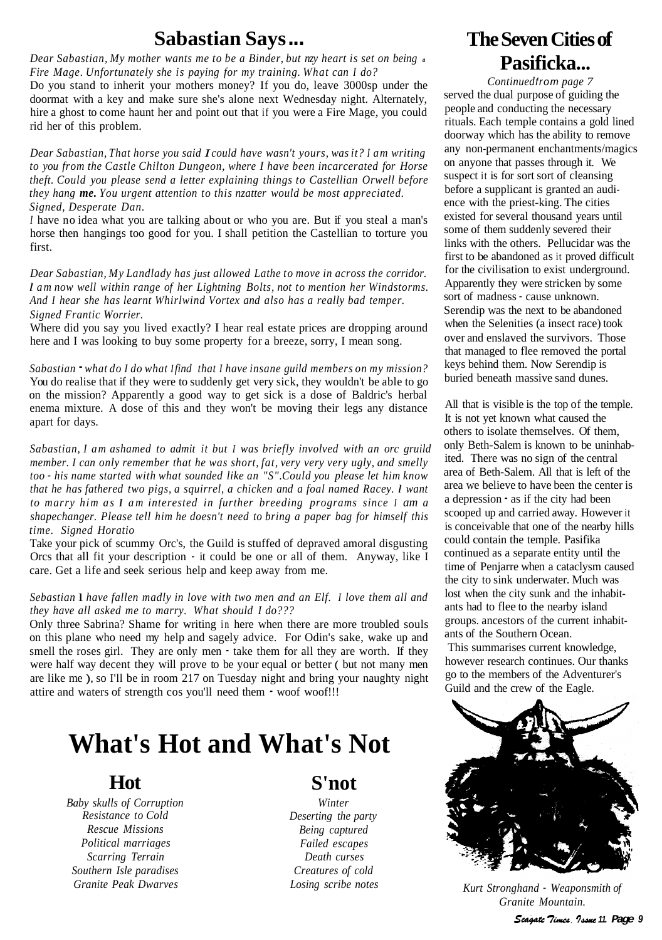## **Sabastian Says** ...

*Dear Sabastian, My mother wants me to be a Binder, but nzy heart is set on being <sup>a</sup> Fire Mage. Unfortunately she is paying for my training. What can I do?* 

Do you stand to inherit your mothers money? If you do, leave 3000sp under the doormat with a key and make sure she's alone next Wednesday night. Alternately, hire a ghost to come haunt her and point out that if you were a Fire Mage, you could rid her of this problem.

*Dear Sabastian, That horse you said I could have wasn't yours, was it? I am writing to you from the Castle Chilton Dungeon, where I have been incarcerated for Horse theft. Could you please send a letter explaining things to Castellian Orwell before they hang me. You urgent attention to this nzatter would be most appreciated. Signed, Desperate Dan.* 

*<sup>I</sup>*have no idea what you are talking about or who you are. But if you steal a man's horse then hangings too good for you. I shall petition the Castellian to torture you first.

*Dear Sabastian, My Landlady has just allowed Lathe to move in across the corridor. l am now well within range of her Lightning Bolts, not to mention her Windstorms. And I hear she has learnt Whirlwind Vortex and also has a really bad temper. Signed Frantic Worrier.* 

Where did you say you lived exactly? I hear real estate prices are dropping around here and I was looking to buy some property for a breeze, sorry, I mean song.

*Sabastian* - *what do I do what I find that I have insane guild members on my mission?*  You do realise that if they were to suddenly get very sick, they wouldn't be able to go on the mission? Apparently a good way to get sick is a dose of Baldric's herbal enema mixture. A dose of this and they won't be moving their legs any distance apart for days.

*Sabastian, I am ashamed to admit it but I was briefly involved with an orc gruild member. I can only remember that he was short, fat, very very very ugly, and smelly too* - *his name started with what sounded like an "S". Could you please let him know that he has fathered two pigs, a squirrel, a chicken and a foal named Racey. l want to marry him as I am interested in further breeding programs since I am a shapechanger. Please tell him he doesn't need to bring a paper bag for himself this time. Signed Horatio* 

Take your pick of scummy Orc's, the Guild is stuffed of depraved amoral disgusting Orcs that all fit your description - it could be one or all of them. Anyway, like I care. Get a life and seek serious help and keep away from me.

#### *Sebastian* l *have fallen madly in love with two men and an Elf. I love them all and they have all asked me to marry. What should I do???*

Only three Sabrina? Shame for writing in here when there are more troubled souls on this plane who need my help and sagely advice. For Odin's sake, wake up and smell the roses girl. They are only men - take them for all they are worth. If they were half way decent they will prove to be your equal or better ( but not many men are like me ), so I'll be in room 217 on Tuesday night and bring your naughty night attire and waters of strength cos you'll need them - woof woof!!!

## **What's Hot and What's Not**

#### **Hot**

*Baby skulls of Corruption Resistance to Cold Rescue Missions Political marriages Scarring Terrain Southern Isle paradises Granite Peak Dwarves* 

### **S'not**

*Winter Deserting the party Being captured Failed escapes Death curses Creatures of cold* 

## **The Seven Cities of Pasificka...**

*Continued* from *page 7*  served the dual purpose of guiding the people and conducting the necessary rituals. Each temple contains a gold lined doorway which has the ability to remove any non-permanent enchantments/magics on anyone that passes through it. We suspect it is for sort sort of cleansing before a supplicant is granted an audience with the priest-king. The cities existed for several thousand years until some of them suddenly severed their links with the others. Pellucidar was the first to be abandoned as it proved difficult for the civilisation to exist underground. Apparently they were stricken by some sort of madness - cause unknown. Serendip was the next to be abandoned when the Selenities (a insect race) took over and enslaved the survivors. Those that managed to flee removed the portal keys behind them. Now Serendip is buried beneath massive sand dunes.

All that is visible is the top of the temple. It is not yet known what caused the others to isolate themselves. Of them, only Beth-Salem is known to be uninhabited. There was no sign of the central area of Beth-Salem. All that is left of the area we believe to have been the center is a depression - as if the city had been scooped up and carried away. However it is conceivable that one of the nearby hills could contain the temple. Pasifika continued as a separate entity until the time of Penjarre when a cataclysm caused the city to sink underwater. Much was lost when the city sunk and the inhabitants had to flee to the nearby island groups. ancestors of the current inhabitants of the Southern Ocean.

This summarises current knowledge, however research continues. Our thanks go to the members of the Adventurer's Guild and the crew of the Eagle.



*Losing scribe notes Kurt Stronghand* - *Weaponsmith of Granite Mountain.*  Scagate Times. 7ssue 11. Page 9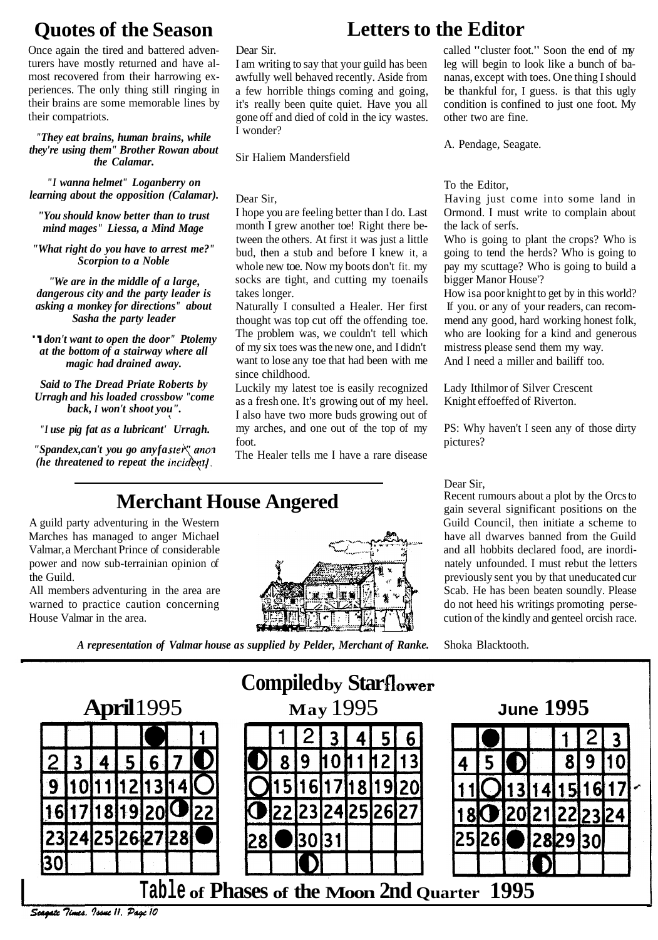## **Quotes of the Season**

Once again the tired and battered adventurers have mostly returned and have almost recovered from their harrowing experiences. The only thing still ringing in their brains are some memorable lines by their compatriots.

#### *"They eat brains, human brains, while they're using them" Brother Rowan about the Calamar.*

*"I wanna helmet" Loganberry on learning about the opposition (Calamar).* 

*"You should know better than to trust mind mages" Liessa, a Mind Mage* 

*"What right do you have to arrest me?" Scorpion to a Noble* 

*"We are in the middle of a large, dangerous city and the party leader is asking a monkey for directions" about Sasha the party leader* 

"I *don't want to open the door" Ptolemy at the bottom of a stairway where all magic had drained away.* 

*Said to The Dread Priate Roberts by Urragh and his loaded crossbow "come back, I won't shoot you".* 

*"I use pig fat as a lubricant' Urragh.* 

*"Spandex, can't you go any faste* " *anon (he threatened to repeat the* 

Dear Sir.

I am writing to say that your guild has been awfully well behaved recently. Aside from a few horrible things coming and going, it's really been quite quiet. Have you all gone off and died of cold in the icy wastes. I wonder?

Sir Haliem Mandersfield

Dear Sir,

I hope you are feeling better than I do. Last month I grew another toe! Right there between the others. At first it was just a little bud, then a stub and before I knew it, a whole new toe. Now my boots don't fit. my socks are tight, and cutting my toenails takes longer.

Naturally I consulted a Healer. Her first thought was top cut off the offending toe. The problem was, we couldn't tell which of my six toes was the new one, and I didn't want to lose any toe that had been with me since childhood.

Luckily my latest toe is easily recognized as a fresh one. It's growing out of my heel. I also have two more buds growing out of my arches, and one out of the top of my foot.

The Healer tells me I have a rare disease

## **Merchant House Angered**

A guild party adventuring in the Western Marches has managed to anger Michael Valmar, a Merchant Prince of considerable power and now sub-terrainian opinion of the Guild.

All members adventuring in the area are warned to practice caution concerning House Valmar in the area.



## **Letters to the Editor**

called "cluster foot." Soon the end of my leg will begin to look like a bunch of bananas, except with toes. One thing I should be thankful for, I guess. is that this ugly condition is confined to just one foot. My other two are fine.

A. Pendage, Seagate.

To the Editor,

Having just come into some land in Ormond. I must write to complain about the lack of serfs.

Who is going to plant the crops? Who is going to tend the herds? Who is going to pay my scuttage? Who is going to build a bigger Manor House'?

How isa poor knight to get by in this world? If you. or any of your readers, can recommend any good, hard working honest folk, who are looking for a kind and generous mistress please send them my way. And I need a miller and bailiff too.

Lady Ithilmor of Silver Crescent Knight effoeffed of Riverton.

PS: Why haven't I seen any of those dirty pictures?

Dear Sir,<br>Recent rumours about a plot by the Orcs to gain several significant positions on the Guild Council, then initiate a scheme to . have all dwarves banned from the Guild and all hobbits declared food, are inordinately unfounded. I must rebut the letters previously sent you by that uneducated cur Scab. He has been beaten soundly. Please do not heed his writings promoting persecution of the kindly and genteel orcish race.

*A representation of Valmar house as supplied by Pelder, Merchant of Ranke.* Shoka Blacktooth.

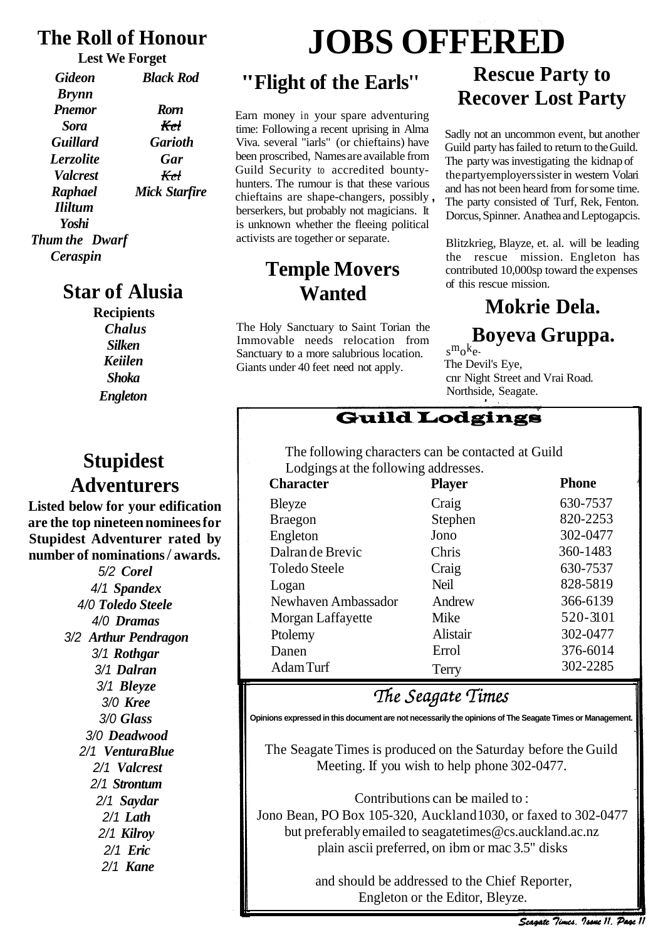## **The Roll of Honour**

**Lest We Forget** 

| Gideon          | <b>Black Rod</b> |
|-----------------|------------------|
| <b>Brynn</b>    |                  |
| <b>Pnemor</b>   | <b>Rorn</b>      |
| Sora            | Kel              |
| <b>Guillard</b> | <b>Garioth</b>   |
| Lerzolite       | Gar              |
| <b>Valcrest</b> | Krt              |
| <b>Raphael</b>  | Mick Starfire    |
| <b>Ililtum</b>  |                  |
| Yoshi           |                  |
| Thum the Dwarf  |                  |
| Ceraspin        |                  |

## **Star of Alusia**

**Recipients**  *Chalus Silken Keiilen Shoka Engleton* 

## **Stupidest Adventurers**

**Listed below for your edification are the top nineteen nominees for Stupidest Adventurer rated by number of nominations** / **awards.** 

> 5/2 *Corel*  4/1 *Spandex*  4/0 *Toledo Steele*  4/0 *Dramas*  3/2 *Arthur Pendragon*  3/1 *Rothgar*  3/1 *Dalran*  3/1 *Bleyze*  3/0 *Kree*  3/0 *Glass*  3/0 *Deadwood*  2/1 *Ventura Blue*  2/1 *Valcrest*  2/1 *Strontum*  2/1 *Saydar*  2/1 *Lath*  2/1 *Kilroy*  2/1 *Eric*  2/1 *Kane*

# **JOBS OFFERED**

## **"Flight of the Earls''**

Earn money in your spare adventuring time: Following a recent uprising in Alma Viva. several "iarls" (or chieftains) have been proscribed, Names are available from Guild Security to accredited bountyhunters. The rumour is that these various chieftains are shape-changers, possibly , berserkers, but probably not magicians. It is unknown whether the fleeing political activists are together or separate.

## **Temple Movers Wanted**

The Holy Sanctuary to Saint Torian the<br>Immovable needs relocation from Sanctuary to a more salubrious location.  $s^{m}o^{k}e$ -<br>Giants under 40 feet need not apply The Devil's Eye, Giants under 40 feet need not apply.

## **Rescue Party to Recover Lost Party**

Sadly not an uncommon event, but another Guild party has failed to return to the Guild. The party was investigating the kidnap of the party employers sister in western Volari and has not been heard from for some time. The party consisted of Turf, Rek, Fenton. Dorcus, Spinner. Anathea and Leptogapcis.

Blitzkrieg, Blayze, et. al. will be leading the rescue mission. Engleton has contributed 10,000sp toward the expenses of this rescue mission.

## **Mokrie Dela.**

## $Bovexa$  Gruppa.

cnr Night Street and Vrai Road. Northside, Seagate.

### **Guild Lodgings**

The following characters can be contacted at Guild Lodgings at the following addresses.

| <b>Character</b>     | <b>Player</b> | <b>Phone</b> |
|----------------------|---------------|--------------|
| Bleyze               | Craig         | 630-7537     |
| <b>Braegon</b>       | Stephen       | 820-2253     |
| Engleton             | Jono          | 302-0477     |
| Dalran de Brevic     | Chris         | 360-1483     |
| <b>Toledo Steele</b> | Craig         | 630-7537     |
| Logan                | <b>Neil</b>   | 828-5819     |
| Newhaven Ambassador  | Andrew        | 366-6139     |
| Morgan Laffayette    | Mike          | 520-3101     |
| Ptolemy              | Alistair      | 302-0477     |
| Danen                | Errol         | 376-6014     |
| Adam Turf            | Terry         | 302-2285     |

## The Seagate Times

**Opinions expressed in this document are not necessarily the opinions of The Seagate Times or Management.** 

The Seagate Times is produced on the Saturday before the Guild Meeting. If you wish to help phone 302-0477.

Contributions can be mailed to :

Jono Bean, PO Box 105-320, Auckland 1030, or faxed to 302-0477 but preferably emailed to seagatetimes@cs.auckland.ac.nz plain ascii preferred, on ibm or mac 3.5" disks

> and should be addressed to the Chief Reporter, Engleton or the Editor, Bleyze.